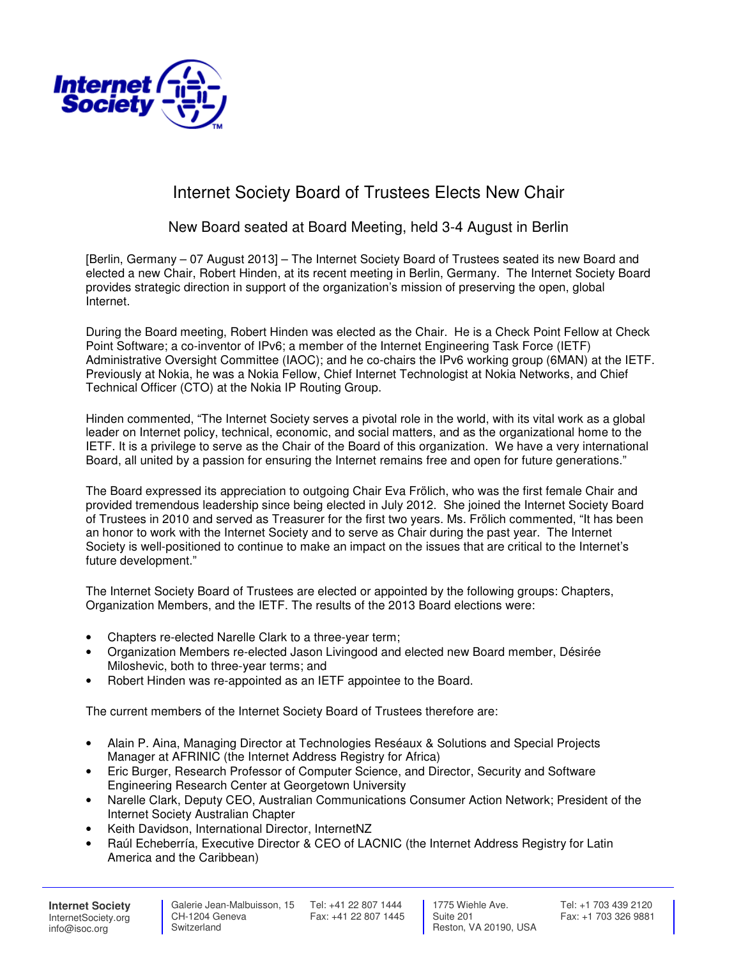

## Internet Society Board of Trustees Elects New Chair

## New Board seated at Board Meeting, held 3-4 August in Berlin

[Berlin, Germany – 07 August 2013] – The Internet Society Board of Trustees seated its new Board and elected a new Chair, Robert Hinden, at its recent meeting in Berlin, Germany. The Internet Society Board provides strategic direction in support of the organization's mission of preserving the open, global Internet.

During the Board meeting, Robert Hinden was elected as the Chair. He is a Check Point Fellow at Check Point Software; a co-inventor of IPv6; a member of the Internet Engineering Task Force (IETF) Administrative Oversight Committee (IAOC); and he co-chairs the IPv6 working group (6MAN) at the IETF. Previously at Nokia, he was a Nokia Fellow, Chief Internet Technologist at Nokia Networks, and Chief Technical Officer (CTO) at the Nokia IP Routing Group.

Hinden commented, "The Internet Society serves a pivotal role in the world, with its vital work as a global leader on Internet policy, technical, economic, and social matters, and as the organizational home to the IETF. It is a privilege to serve as the Chair of the Board of this organization. We have a very international Board, all united by a passion for ensuring the Internet remains free and open for future generations."

The Board expressed its appreciation to outgoing Chair Eva Frölich, who was the first female Chair and provided tremendous leadership since being elected in July 2012. She joined the Internet Society Board of Trustees in 2010 and served as Treasurer for the first two years. Ms. Frölich commented, "It has been an honor to work with the Internet Society and to serve as Chair during the past year. The Internet Society is well-positioned to continue to make an impact on the issues that are critical to the Internet's future development."

The Internet Society Board of Trustees are elected or appointed by the following groups: Chapters, Organization Members, and the IETF. The results of the 2013 Board elections were:

- Chapters re-elected Narelle Clark to a three-year term;
- Organization Members re-elected Jason Livingood and elected new Board member, Désirée Miloshevic, both to three-year terms; and
- Robert Hinden was re-appointed as an IETF appointee to the Board.

The current members of the Internet Society Board of Trustees therefore are:

- Alain P. Aina, Managing Director at Technologies Reséaux & Solutions and Special Projects Manager at AFRINIC (the Internet Address Registry for Africa)
- Eric Burger, Research Professor of Computer Science, and Director, Security and Software Engineering Research Center at Georgetown University
- Narelle Clark, Deputy CEO, Australian Communications Consumer Action Network; President of the Internet Society Australian Chapter
- Keith Davidson, International Director, InternetNZ
- Raúl Echeberría, Executive Director & CEO of LACNIC (the Internet Address Registry for Latin America and the Caribbean)

**Internet Society** InternetSociety.org info@isoc.org